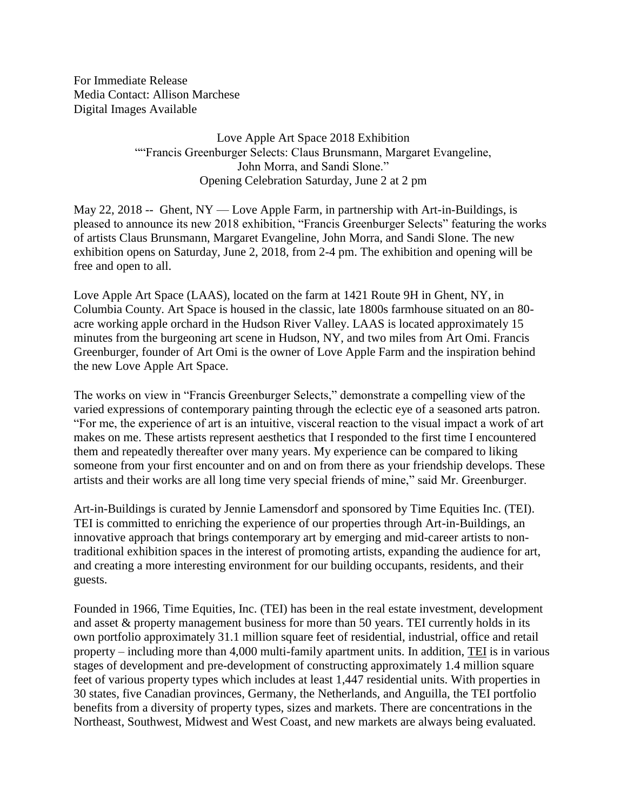For Immediate Release Media Contact: Allison Marchese Digital Images Available

> Love Apple Art Space 2018 Exhibition ""Francis Greenburger Selects: Claus Brunsmann, Margaret Evangeline, John Morra, and Sandi Slone." Opening Celebration Saturday, June 2 at 2 pm

May 22, 2018 -- Ghent, NY — Love Apple Farm, in partnership with Art-in-Buildings, is pleased to announce its new 2018 exhibition, "Francis Greenburger Selects" featuring the works of artists Claus Brunsmann, Margaret Evangeline, John Morra, and Sandi Slone. The new exhibition opens on Saturday, June 2, 2018, from 2-4 pm. The exhibition and opening will be free and open to all.

Love Apple Art Space (LAAS), located on the farm at 1421 Route 9H in Ghent, NY, in Columbia County. Art Space is housed in the classic, late 1800s farmhouse situated on an 80 acre working apple orchard in the Hudson River Valley. LAAS is located approximately 15 minutes from the burgeoning art scene in Hudson, NY, and two miles from Art Omi. Francis Greenburger, founder of Art Omi is the owner of Love Apple Farm and the inspiration behind the new Love Apple Art Space.

The works on view in "Francis Greenburger Selects," demonstrate a compelling view of the varied expressions of contemporary painting through the eclectic eye of a seasoned arts patron. "For me, the experience of art is an intuitive, visceral reaction to the visual impact a work of art makes on me. These artists represent aesthetics that I responded to the first time I encountered them and repeatedly thereafter over many years. My experience can be compared to liking someone from your first encounter and on and on from there as your friendship develops. These artists and their works are all long time very special friends of mine," said Mr. Greenburger.

Art-in-Buildings is curated by Jennie Lamensdorf and sponsored by Time Equities Inc. (TEI). TEI is committed to enriching the experience of our properties through Art-in-Buildings, an innovative approach that brings contemporary art by emerging and mid-career artists to nontraditional exhibition spaces in the interest of promoting artists, expanding the audience for art, and creating a more interesting environment for our building occupants, residents, and their guests.

Founded in 1966, Time Equities, Inc. (TEI) has been in the real estate investment, development and asset & property management business for more than 50 years. TEI currently holds in its own portfolio approximately 31.1 million square feet of residential, industrial, office and retail property – including more than 4,000 multi-family apartment units. In addition, TEI is in various stages of development and pre-development of constructing approximately 1.4 million square feet of various property types which includes at least 1,447 residential units. With properties in 30 states, five Canadian provinces, Germany, the Netherlands, and Anguilla, the TEI portfolio benefits from a diversity of property types, sizes and markets. There are concentrations in the Northeast, Southwest, Midwest and West Coast, and new markets are always being evaluated.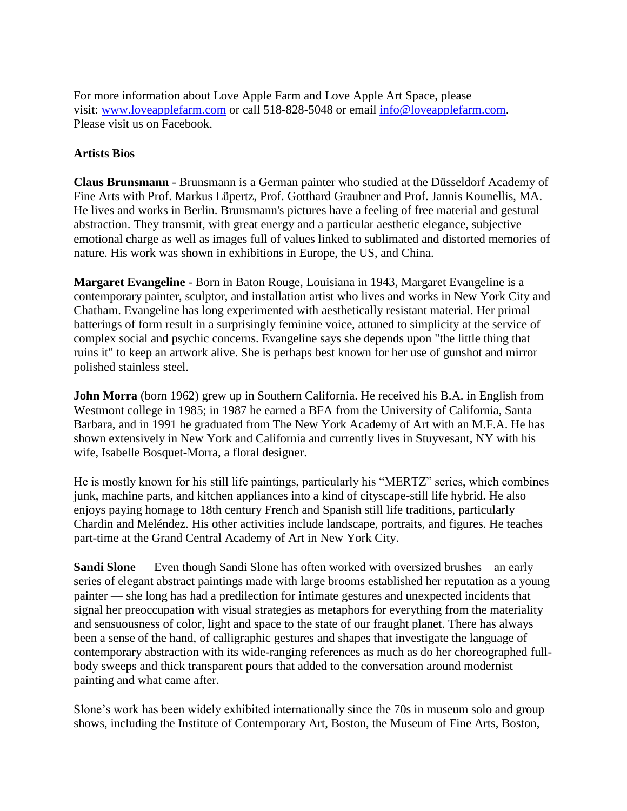For more information about Love Apple Farm and Love Apple Art Space, please visit: [www.loveapplefarm.com](https://urldefense.proofpoint.com/v2/url?u=http-3A__www.loveapplefarm.com&d=DwMFaQ&c=euGZstcaTDllvimEN8b7jXrwqOf-v5A_CdpgnVfiiMM&r=IDAK6-KcC1glUt3LI3jXYcbsUMSI2q_K6vsRnhNmLr0&m=CdPfsJz841ogf1QVcYabdYaJ12U35bkZkGxVI-VAuYE&s=AG7ZcQ3v7cY2YaF83grHvyeMBNDs3tATD-ZhZhld7UQ&e=) or call 518-828-5048 or email [info@loveapplefarm.com.](mailto:info@loveapplefarm.com) Please visit us on Facebook.

## **Artists Bios**

**Claus Brunsmann** - Brunsmann is a German painter who studied at the Düsseldorf Academy of Fine Arts with Prof. Markus Lüpertz, Prof. Gotthard Graubner and Prof. Jannis Kounellis, MA. He lives and works in Berlin. Brunsmann's pictures have a feeling of free material and gestural abstraction. They transmit, with great energy and a particular aesthetic elegance, subjective emotional charge as well as images full of values linked to sublimated and distorted memories of nature. His work was shown in exhibitions in Europe, the US, and China.

**Margaret Evangeline** - Born in Baton Rouge, Louisiana in 1943, Margaret Evangeline is a contemporary painter, sculptor, and installation artist who lives and works in New York City and Chatham. Evangeline has long experimented with aesthetically resistant material. Her primal batterings of form result in a surprisingly feminine voice, attuned to simplicity at the service of complex social and psychic concerns. Evangeline says she depends upon "the little thing that ruins it" to keep an artwork alive. She is perhaps best known for her use of gunshot and mirror polished stainless steel.

**John Morra** (born 1962) grew up in Southern California. He received his B.A. in English from Westmont college in 1985; in 1987 he earned a BFA from the University of California, Santa Barbara, and in 1991 he graduated from The New York Academy of Art with an M.F.A. He has shown extensively in New York and California and currently lives in Stuyvesant, NY with his wife, Isabelle Bosquet-Morra, a floral designer.

He is mostly known for his still life paintings, particularly his "MERTZ" series, which combines junk, machine parts, and kitchen appliances into a kind of cityscape-still life hybrid. He also enjoys paying homage to 18th century French and Spanish still life traditions, particularly Chardin and Meléndez. His other activities include landscape, portraits, and figures. He teaches part-time at the Grand Central Academy of Art in New York City.

**Sandi Slone** — Even though Sandi Slone has often worked with oversized brushes—an early series of elegant abstract paintings made with large brooms established her reputation as a young painter — she long has had a predilection for intimate gestures and unexpected incidents that signal her preoccupation with visual strategies as metaphors for everything from the materiality and sensuousness of color, light and space to the state of our fraught planet. There has always been a sense of the hand, of calligraphic gestures and shapes that investigate the language of contemporary abstraction with its wide-ranging references as much as do her choreographed fullbody sweeps and thick transparent pours that added to the conversation around modernist painting and what came after.

Slone's work has been widely exhibited internationally since the 70s in museum solo and group shows, including the Institute of Contemporary Art, Boston, the Museum of Fine Arts, Boston,